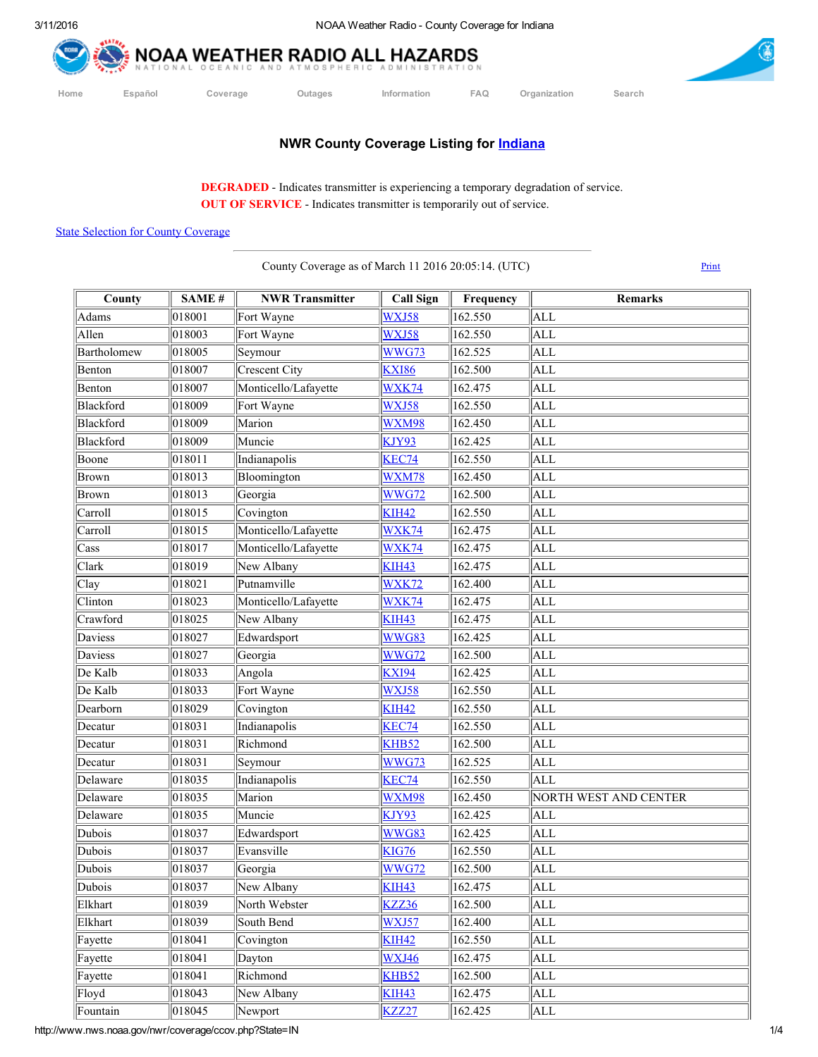



**NWR County Coverage Listing for [Indiana](http://www.nws.noaa.gov/nwr/maps/PHP/IN.php)** 

DEGRADED - Indicates transmitter is experiencing a temporary degradation of service. OUT OF SERVICE - Indicates transmitter is temporarily out of service.

## State Selection for County [Coverage](http://www.nws.noaa.gov/nwr/coverage/county_coverage.html)

County Coverage as of March 11 2016 20:05:14. (UTC) [Print](javascript:window.print())

| County                 | SAME#  | <b>NWR Transmitter</b> | <b>Call Sign</b> | Frequency | Remarks               |
|------------------------|--------|------------------------|------------------|-----------|-----------------------|
| Adams                  | 018001 | Fort Wayne             | WXJ58            | 162.550   | <b>ALL</b>            |
| Allen                  | 018003 | Fort Wayne             | WXJ58            | 162.550   | <b>ALL</b>            |
| Bartholomew            | 018005 | Seymour                | <b>WWG73</b>     | 162.525   | <b>ALL</b>            |
| Benton                 | 018007 | Crescent City          | <b>KXI86</b>     | 162.500   | <b>ALL</b>            |
| Benton                 | 018007 | Monticello/Lafayette   | WXK74            | 162.475   | ALL                   |
| Blackford              | 018009 | Fort Wayne             | WXJ58            | 162.550   | <b>ALL</b>            |
| Blackford              | 018009 | Marion                 | <b>WXM98</b>     | 162.450   | <b>ALL</b>            |
| Blackford              | 018009 | Muncie                 | KJY93            | 162.425   | <b>ALL</b>            |
| Boone                  | 018011 | Indianapolis           | KEC74            | 162.550   | ALL                   |
| Brown                  | 018013 | Bloomington            | <b>WXM78</b>     | 162.450   | <b>ALL</b>            |
| Brown                  | 018013 | Georgia                | <b>WWG72</b>     | 162.500   | <b>ALL</b>            |
| Carroll                | 018015 | Covington              | <b>KIH42</b>     | 162.550   | <b>ALL</b>            |
| Carroll                | 018015 | Monticello/Lafayette   | WXK74            | 162.475   | <b>ALL</b>            |
| Cass                   | 018017 | Monticello/Lafayette   | WXK74            | 162.475   | ALL                   |
| Clark                  | 018019 | New Albany             | <b>KIH43</b>     | 162.475   | <b>ALL</b>            |
| Clay                   | 018021 | Putnamville            | <b>WXK72</b>     | 162.400   | <b>ALL</b>            |
| Clinton                | 018023 | Monticello/Lafayette   | WXK74            | 162.475   | <b>ALL</b>            |
| Crawford               | 018025 | New Albany             | <b>KIH43</b>     | 162.475   | <b>ALL</b>            |
| Daviess                | 018027 | Edwardsport            | WWG83            | 162.425   | <b>ALL</b>            |
| Daviess                | 018027 | Georgia                | WWG72            | 162.500   | <b>ALL</b>            |
| De Kalb                | 018033 | Angola                 | <b>KXI94</b>     | 162.425   | <b>ALL</b>            |
| De Kalb                | 018033 | Fort Wayne             | WXJ58            | 162.550   | <b>ALL</b>            |
| Dearborn               | 018029 | Covington              | <b>KIH42</b>     | 162.550   | <b>ALL</b>            |
| Decatur                | 018031 | Indianapolis           | KEC74            | 162.550   | <b>ALL</b>            |
| Decatur                | 018031 | Richmond               | KHB52            | 162.500   | <b>ALL</b>            |
| Decatur                | 018031 | Seymour                | WWG73            | 162.525   | <b>ALL</b>            |
| Delaware               | 018035 | Indianapolis           | KEC74            | 162.550   | <b>ALL</b>            |
| Delaware               | 018035 | Marion                 | WXM98            | 162.450   | NORTH WEST AND CENTER |
| Delaware               | 018035 | Muncie                 | KJY93            | 162.425   | <b>ALL</b>            |
| Dubois                 | 018037 | Edwardsport            | WWG83            | 162.425   | <b>ALL</b>            |
| Dubois                 | 018037 | Evansville             | <b>KIG76</b>     | 162.550   | ALL                   |
| Dubois                 | 018037 | Georgia                | WWG72            | 162.500   | <b>ALL</b>            |
| $\sqrt{\text{Dubois}}$ | 018037 | New Albany             | <b>KIH43</b>     | 162.475   | $\overline{ALL}$      |
| Elkhart                | 018039 | North Webster          | <b>KZZ36</b>     | 162.500   | <b>ALL</b>            |
| Elkhart                | 018039 | South Bend             | WXJ57            | 162.400   | ALL                   |
| Fayette                | 018041 | Covington              | <b>KIH42</b>     | 162.550   | <b>ALL</b>            |
| Fayette                | 018041 | Dayton                 | WXJ46            | 162.475   | <b>ALL</b>            |
| Fayette                | 018041 | Richmond               | KHB52            | 162.500   | ALL                   |
| Floyd                  | 018043 | New Albany             | <b>KIH43</b>     | 162.475   | <b>ALL</b>            |
| Fountain               | 018045 | Newport                | <b>KZZ27</b>     | 162.425   | <b>ALL</b>            |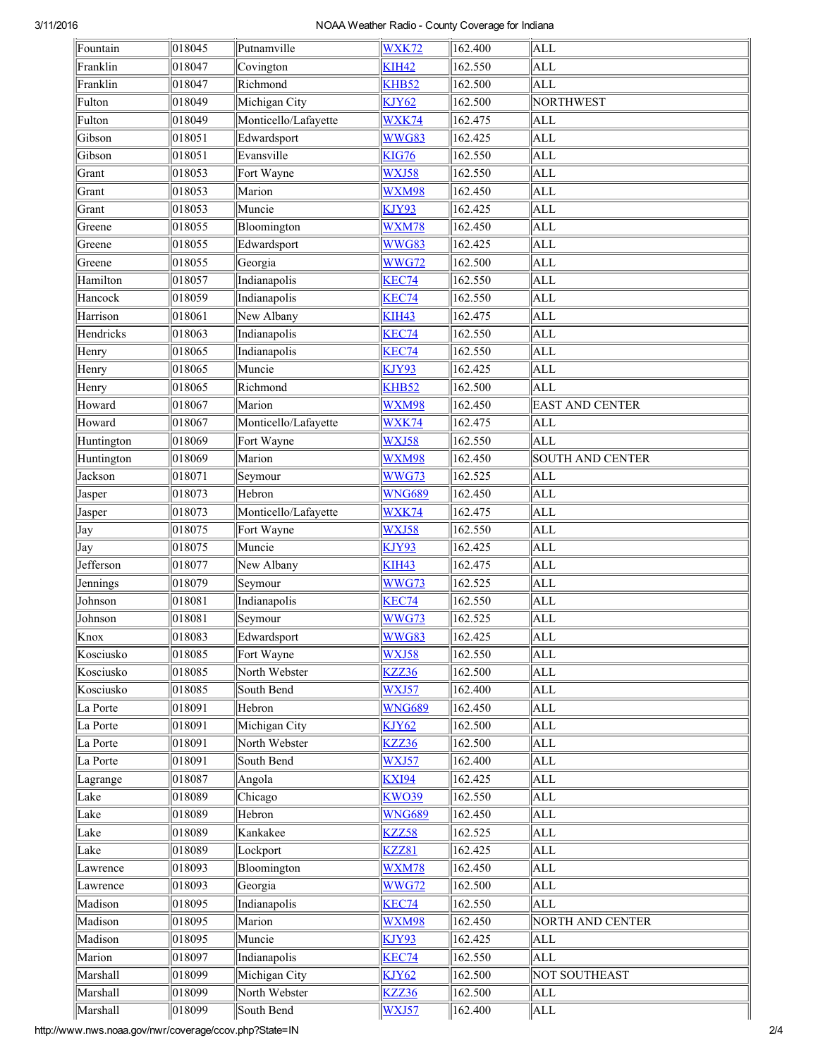## 3/11/2016 NOAA Weather Radio County Coverage for Indiana

| Fountain             | 018045 | Putnamville            | <b>WXK72</b>  | 162.400 | <b>ALL</b>              |
|----------------------|--------|------------------------|---------------|---------|-------------------------|
| Franklin             | 018047 | Covington              | <b>KIH42</b>  | 162.550 | <b>ALL</b>              |
| Franklin             | 018047 | Richmond               | KHB52         | 162.500 | <b>ALL</b>              |
| Fulton               | 018049 | Michigan City          | KJY62         | 162.500 | <b>NORTHWEST</b>        |
| Fulton               | 018049 | Monticello/Lafayette   | WXK74         | 162.475 | <b>ALL</b>              |
| Gibson               | 018051 | Edwardsport            | WWG83         | 162.425 | <b>ALL</b>              |
| Gibson               | 018051 | Evansville             | <b>KIG76</b>  | 162.550 | <b>ALL</b>              |
| Grant                | 018053 | Fort Wayne             | WXJ58         | 162.550 | <b>ALL</b>              |
| Grant                | 018053 | Marion                 | WXM98         | 162.450 | <b>ALL</b>              |
| Grant                | 018053 | Muncie                 | KJY93         | 162.425 | <b>ALL</b>              |
| Greene               | 018055 | Bloomington            | WXM78         | 162.450 | <b>ALL</b>              |
| Greene               | 018055 | Edwardsport            | WWG83         | 162.425 | ALL                     |
| Greene               | 018055 | Georgia                | WWG72         | 162.500 | ALL                     |
| Hamilton             | 018057 | Indianapolis           | KEC74         | 162.550 | ALL                     |
| Hancock              | 018059 | Indianapolis           | KEC74         | 162.550 | ALL                     |
| Harrison             | 018061 | New Albany             | <b>KIH43</b>  | 162.475 | <b>ALL</b>              |
| Hendricks            | 018063 | Indianapolis           | KEC74         | 162.550 | ALL                     |
| Henry                | 018065 | Indianapolis           | KEC74         | 162.550 | <b>ALL</b>              |
| Henry                | 018065 | Muncie                 | KJY93         | 162.425 | <b>ALL</b>              |
| Henry                | 018065 | Richmond               | KHB52         | 162.500 | <b>ALL</b>              |
| Howard               | 018067 | Marion                 | WXM98         | 162.450 | <b>EAST AND CENTER</b>  |
| Howard               | 018067 | Monticello/Lafayette   | WXK74         | 162.475 | ALL                     |
| Huntington           | 018069 | Fort Wayne             | WXJ58         | 162.550 | <b>ALL</b>              |
| Huntington           | 018069 | Marion                 | <b>WXM98</b>  | 162.450 | <b>SOUTH AND CENTER</b> |
| Jackson              | 018071 | Seymour                | WWG73         | 162.525 | <b>ALL</b>              |
| Jasper               | 018073 | Hebron                 | <b>WNG689</b> | 162.450 | <b>ALL</b>              |
| Jasper               | 018073 | Monticello/Lafayette   | WXK74         | 162.475 | <b>ALL</b>              |
| Jay                  | 018075 | Fort Wayne             | WXJ58         | 162.550 | <b>ALL</b>              |
| Jay                  | 018075 | Muncie                 | KJY93         | 162.425 | <b>ALL</b>              |
| Jefferson            | 018077 | New Albany             | <b>KIH43</b>  | 162.475 | <b>ALL</b>              |
| Jennings             | 018079 | Seymour                | WWG73         | 162.525 | ALL                     |
| Johnson              | 018081 | Indianapolis           | KEC74         | 162.550 | <b>ALL</b>              |
| Johnson              | 018081 | Seymour                | WWG73         | 162.525 | <b>ALL</b>              |
| Knox                 | 018083 | Edwardsport            | WWG83         | 162.425 | ALL                     |
| Kosciusko            | 018085 | Fort Wayne             | WXJ58         | 162.550 | <b>ALL</b>              |
| Kosciusko            | 018085 | North Webster          | KZZ36         | 162.500 | ALL                     |
| Kosciusko            | 018085 | South Bend             | WXJ57         | 162.400 | <b>ALL</b>              |
| La Porte             | 018091 | Hebron                 | <b>WNG689</b> | 162.450 | <b>ALL</b>              |
| La Porte             | 018091 | Michigan City          | KJY62         | 162.500 | <b>ALL</b>              |
| La Porte             | 018091 | North Webster          | KZZ36         | 162.500 | ALL                     |
| La Porte             | 018091 | South Bend             | WXJ57         | 162.400 | <b>ALL</b>              |
| Lagrange             | 018087 | Angola                 | <b>KXI94</b>  | 162.425 | <b>ALL</b>              |
| Lake                 | 018089 | Chicago                | <b>KWO39</b>  | 162.550 | <b>ALL</b>              |
| Lake                 | 018089 | Hebron                 | <b>WNG689</b> | 162.450 | <b>ALL</b>              |
| Lake                 | 018089 | Kankakee               | KZZ58         | 162.525 | ALL                     |
| Lake                 | 018089 | Lockport               | KZZ81         | 162.425 | <b>ALL</b>              |
|                      | 018093 |                        | WXM78         | 162.450 | <b>ALL</b>              |
| Lawrence<br>Lawrence | 018093 | Bloomington<br>Georgia | <b>WWG72</b>  | 162.500 | <b>ALL</b>              |
| Madison              | 018095 | Indianapolis           | KEC74         | 162.550 | <b>ALL</b>              |
|                      |        |                        |               |         |                         |
| Madison              | 018095 | Marion                 | WXM98         | 162.450 | NORTH AND CENTER        |
| Madison              | 018095 | Muncie                 | <b>KJY93</b>  | 162.425 | ALL                     |
| Marion               | 018097 | Indianapolis           | KEC74         | 162.550 | <b>ALL</b>              |
| Marshall             | 018099 | Michigan City          | KJY62         | 162.500 | NOT SOUTHEAST           |
| Marshall             | 018099 | North Webster          | <b>KZZ36</b>  | 162.500 | <b>ALL</b>              |
| Marshall             | 018099 | South Bend             | WXJ57         | 162.400 | ALL                     |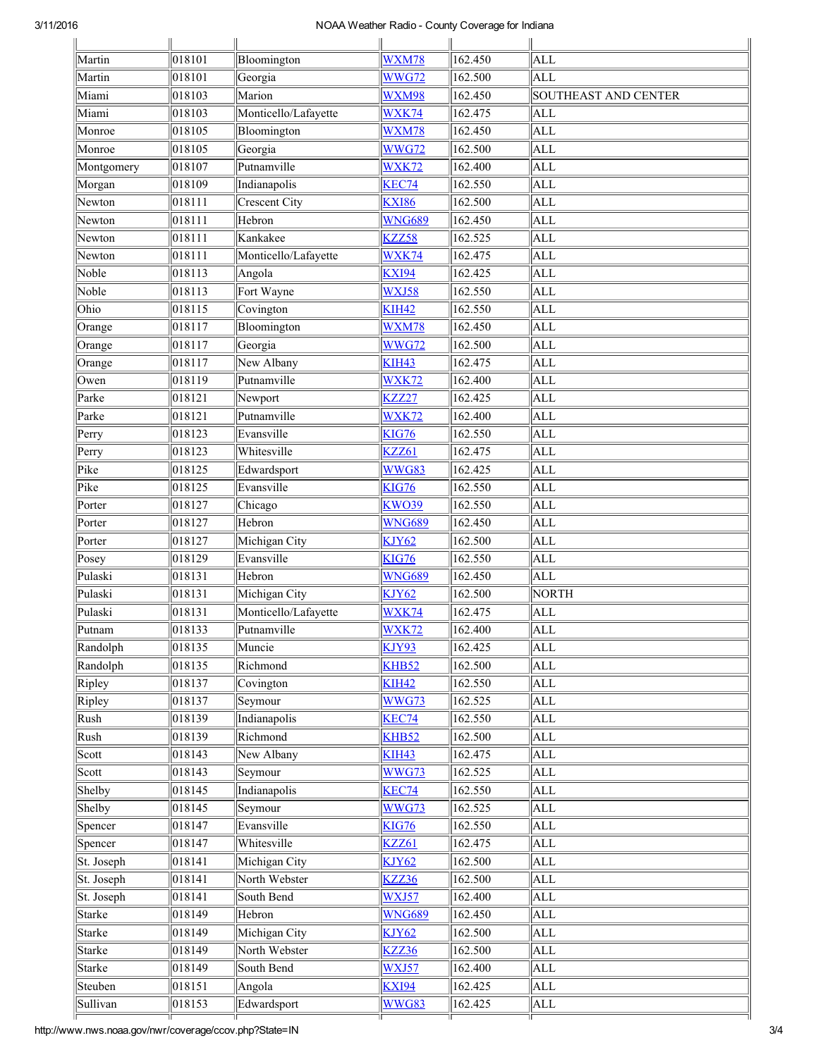## 3/11/2016 NOAA Weather Radio County Coverage for Indiana

| Martin                    | 018101          | Bloomington          | WXM78             | 162.450 | <b>ALL</b>           |
|---------------------------|-----------------|----------------------|-------------------|---------|----------------------|
| Martin                    | 018101          | Georgia              | WWG72             | 162.500 | <b>ALL</b>           |
| Miami                     | 018103          | Marion               | WXM98             | 162.450 | SOUTHEAST AND CENTER |
| Miami                     | 018103          | Monticello/Lafayette | WXK74             | 162.475 | ALL                  |
| Monroe                    | 018105          | Bloomington          | WXM78             | 162.450 | <b>ALL</b>           |
| Monroe                    | 018105          | Georgia              | WWG72             | 162.500 | <b>ALL</b>           |
| Montgomery                | 018107          | Putnamville          | WXK72             | 162.400 | ALL                  |
| Morgan                    | $\sqrt{018}109$ | Indianapolis         | KEC74             | 162.550 | <b>ALL</b>           |
| Newton                    | 018111          | <b>Crescent City</b> | <b>KXI86</b>      | 162.500 | <b>ALL</b>           |
| Newton                    | 018111          | Hebron               | <b>WNG689</b>     | 162.450 | <b>ALL</b>           |
| Newton                    | 018111          | Kankakee             | KZZ58             | 162.525 | <b>ALL</b>           |
| Newton                    | 018111          | Monticello/Lafayette | WXK74             | 162.475 | <b>ALL</b>           |
| Noble                     | 018113          | Angola               | <b>KXI94</b>      | 162.425 | <b>ALL</b>           |
| Noble                     | 018113          | Fort Wayne           | WXJ58             | 162.550 | <b>ALL</b>           |
| Ohio                      | 018115          | Covington            | KIH <sub>42</sub> | 162.550 | <b>ALL</b>           |
| Orange                    | 018117          | Bloomington          | WXM78             | 162.450 | <b>ALL</b>           |
| Orange                    | 018117          | Georgia              | WWG72             | 162.500 | <b>ALL</b>           |
| Orange                    | 018117          | New Albany           | <b>KIH43</b>      | 162.475 | <b>ALL</b>           |
| Owen                      | 018119          | Putnamville          | WXK72             | 162.400 | <b>ALL</b>           |
| Parke                     | 018121          | Newport              | KZZ27             | 162.425 | <b>ALL</b>           |
| Parke                     | 018121          | Putnamville          | WXK72             | 162.400 | <b>ALL</b>           |
| Perry                     | 018123          | Evansville           | <b>KIG76</b>      | 162.550 | <b>ALL</b>           |
| Perry                     | 018123          | Whitesville          | KZZ61             | 162.475 | <b>ALL</b>           |
| $\overline{\text{P}}$ ike | 018125          | Edwardsport          | WWG83             | 162.425 | <b>ALL</b>           |
| Pike                      | 018125          | Evansville           | <b>KIG76</b>      | 162.550 | <b>ALL</b>           |
| Porter                    | $\sqrt{018}127$ | Chicago              | <b>KWO39</b>      | 162.550 | <b>ALL</b>           |
| Porter                    | 018127          | Hebron               | <b>WNG689</b>     | 162.450 | <b>ALL</b>           |
| Porter                    | 018127          | Michigan City        | KJY62             | 162.500 | <b>ALL</b>           |
| Posey                     | $\sqrt{018}129$ | Evansville           | KIG76             | 162.550 | <b>ALL</b>           |
| Pulaski                   | 018131          | Hebron               | <b>WNG689</b>     | 162.450 | <b>ALL</b>           |
| Pulaski                   | 018131          | Michigan City        | KJY62             | 162.500 | <b>NORTH</b>         |
| Pulaski                   | 018131          | Monticello/Lafayette | WXK74             | 162.475 | ALL                  |
| Putnam                    | 018133          | Putnamville          | WXK72             | 162.400 | ALL                  |
| Randolph                  | 018135          | Muncie               | <b>KJY93</b>      | 162.425 | ALL                  |
| Randolph                  | 018135          | Richmond             | <b>KHB52</b>      | 162.500 | <b>ALL</b>           |
| Ripley                    | 018137          | Covington            | <b>KIH42</b>      | 162.550 | ALL                  |
| Ripley                    | 018137          | Seymour              | WWG73             | 162.525 | ALL                  |
| Rush                      | 018139          | Indianapolis         | KEC74             | 162.550 | ALL                  |
| Rush                      | 018139          | Richmond             | KHB52             | 162.500 | <b>ALL</b>           |
| Scott                     | 018143          | New Albany           | <b>KIH43</b>      | 162.475 | <b>ALL</b>           |
| Scott                     | 018143          | Seymour              | WWG73             | 162.525 | ALL                  |
| Shelby                    | 018145          | Indianapolis         | KEC74             | 162.550 | ALL                  |
| Shelby                    | 018145          | Seymour              | WWG73             | 162.525 | <b>ALL</b>           |
| Spencer                   | 018147          | Evansville           | <b>KIG76</b>      | 162.550 | ALL                  |
| Spencer                   | 018147          | Whitesville          | KZZ61             | 162.475 | <b>ALL</b>           |
| St. Joseph                | 018141          | Michigan City        | <b>KJY62</b>      | 162.500 | ALL                  |
| St. Joseph                | 018141          | North Webster        | KZZ36             | 162.500 | ALL                  |
| St. Joseph                | 018141          | South Bend           | WXJ57             | 162.400 | <b>ALL</b>           |
| Starke                    | 018149          | Hebron               | <b>WNG689</b>     | 162.450 | ALL                  |
| Starke                    | 018149          | Michigan City        | KJY62             | 162.500 | <b>ALL</b>           |
| Starke                    | 018149          | North Webster        | <b>KZZ36</b>      | 162.500 | ALL                  |
| <b>Starke</b>             | 018149          | South Bend           | WXJ57             | 162.400 | <b>ALL</b>           |
| Steuben                   | 018151          | Angola               | <b>KXI94</b>      | 162.425 | <b>ALL</b>           |
| Sullivan                  | 018153          | Edwardsport          | WWG83             |         | ALL                  |
|                           |                 |                      |                   | 162.425 |                      |